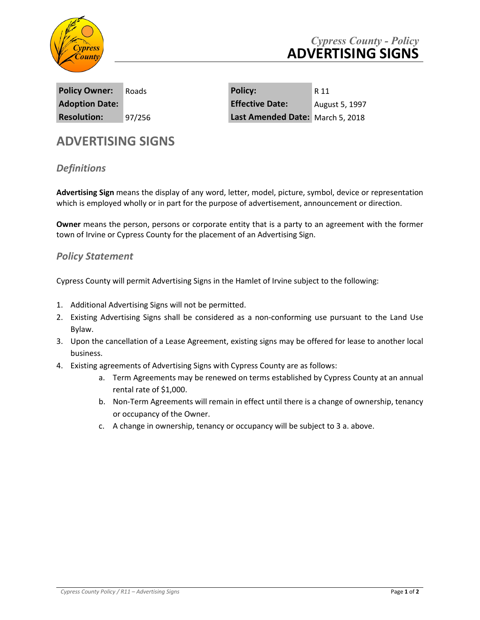

| <b>Policy Owner:</b>  | Roads  |
|-----------------------|--------|
| <b>Adoption Date:</b> |        |
| <b>Resolution:</b>    | 97/256 |

**Policy Owner:** Roads **Policy:** R 11 **Adoption Date: Effective Date:** August 5, 1997 Last Amended Date: March 5, 2018

## **ADVERTISING SIGNS**

## *Definitions*

**Advertising Sign** means the display of any word, letter, model, picture, symbol, device or representation which is employed wholly or in part for the purpose of advertisement, announcement or direction.

**Owner** means the person, persons or corporate entity that is a party to an agreement with the former town of Irvine or Cypress County for the placement of an Advertising Sign.

## *Policy Statement*

Cypress County will permit Advertising Signs in the Hamlet of Irvine subject to the following:

- 1. Additional Advertising Signs will not be permitted.
- 2. Existing Advertising Signs shall be considered as a non-conforming use pursuant to the Land Use Bylaw.
- 3. Upon the cancellation of a Lease Agreement, existing signs may be offered for lease to another local business.
- 4. Existing agreements of Advertising Signs with Cypress County are as follows:
	- a. Term Agreements may be renewed on terms established by Cypress County at an annual rental rate of \$1,000.
	- b. Non-Term Agreements will remain in effect until there is a change of ownership, tenancy or occupancy of the Owner.
	- c. A change in ownership, tenancy or occupancy will be subject to 3 a. above.